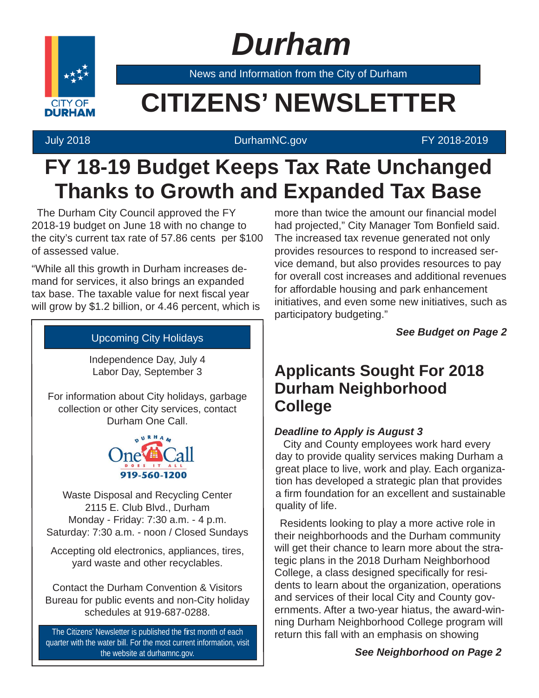# *Durham*



News and Information from the City of Durham

### **CITIZENS' NEWSLETTER**

### July 2018 DurhamNC.gov FY 2018-2019

### **FY 18-19 Budget Keeps Tax Rate Unchanged Thanks to Growth and Expanded Tax Base**

The Durham City Council approved the FY 2018-19 budget on June 18 with no change to the city's current tax rate of 57.86 cents per \$100 of assessed value.

"While all this growth in Durham increases demand for services, it also brings an expanded tax base. The taxable value for next fiscal year will grow by \$1.2 billion, or 4.46 percent, which is

### Upcoming City Holidays

Independence Day, July 4 Labor Day, September 3

For information about City holidays, garbage collection or other City services, contact Durham One Call.



Waste Disposal and Recycling Center 2115 E. Club Blvd., Durham Monday - Friday: 7:30 a.m. - 4 p.m. Saturday: 7:30 a.m. - noon / Closed Sundays

Accepting old electronics, appliances, tires, yard waste and other recyclables.

Contact the Durham Convention & Visitors Bureau for public events and non-City holiday schedules at 919-687-0288.

The Citizens' Newsletter is published the first month of each quarter with the water bill. For the most current information, visit the website at durhamnc.gov.

more than twice the amount our financial model had projected," City Manager Tom Bonfield said. The increased tax revenue generated not only provides resources to respond to increased service demand, but also provides resources to pay for overall cost increases and additional revenues for affordable housing and park enhancement initiatives, and even some new initiatives, such as participatory budgeting."

*See Budget on Page 2*

### **Applicants Sought For 2018 Durham Neighborhood College**

### *Deadline to Apply is August 3*

City and County employees work hard every day to provide quality services making Durham a great place to live, work and play. Each organization has developed a strategic plan that provides a firm foundation for an excellent and sustainable quality of life.

Residents looking to play a more active role in their neighborhoods and the Durham community will get their chance to learn more about the strategic plans in the 2018 Durham Neighborhood College, a class designed specifically for residents to learn about the organization, operations and services of their local City and County governments. After a two-year hiatus, the award-winning Durham Neighborhood College program will return this fall with an emphasis on showing